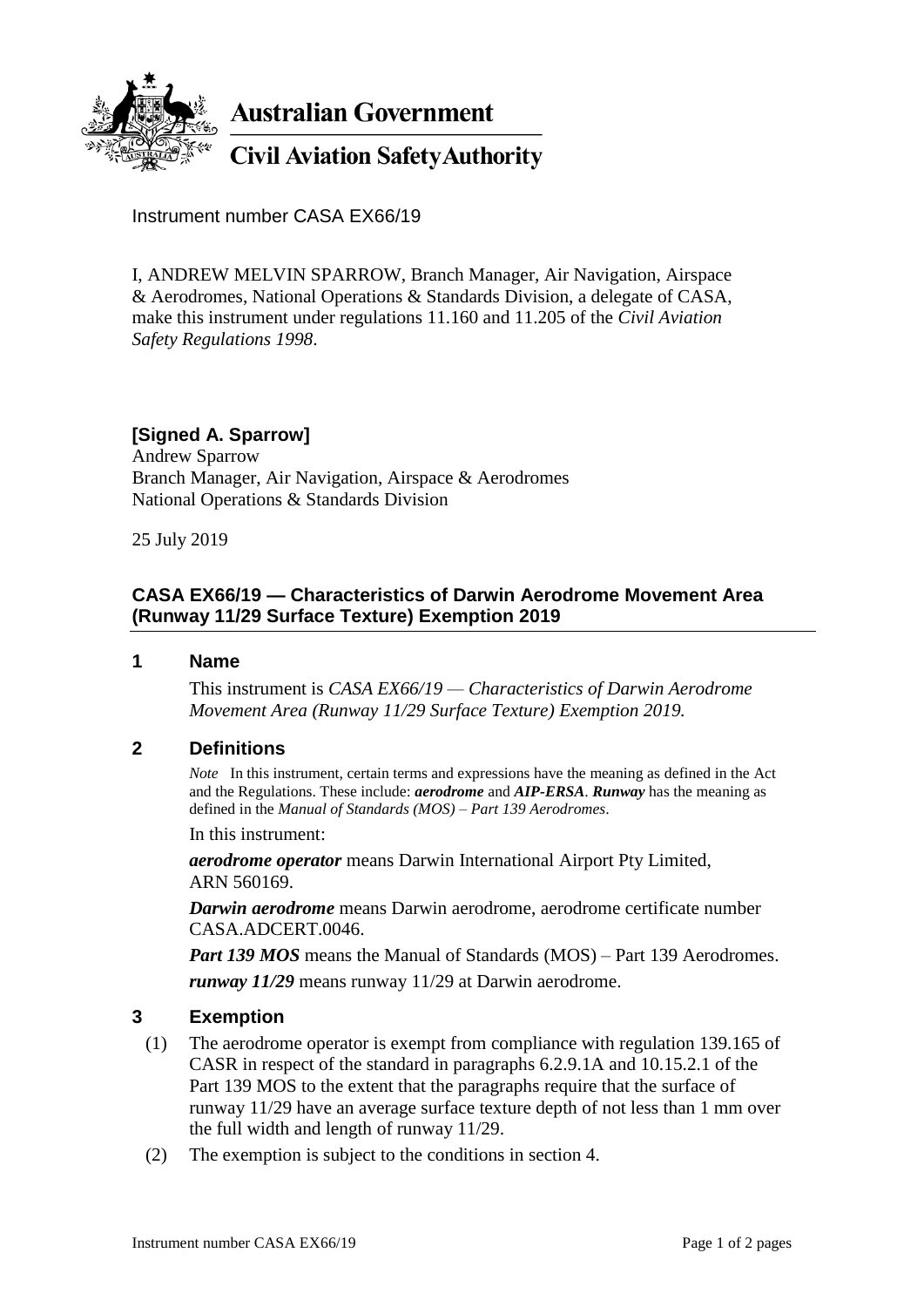

**Australian Government** 

**Civil Aviation Safety Authority** 

Instrument number CASA EX66/19

I, ANDREW MELVIN SPARROW, Branch Manager, Air Navigation, Airspace & Aerodromes, National Operations & Standards Division, a delegate of CASA, make this instrument under regulations 11.160 and 11.205 of the *Civil Aviation Safety Regulations 1998*.

# **[Signed A. Sparrow]**

Andrew Sparrow Branch Manager, Air Navigation, Airspace & Aerodromes National Operations & Standards Division

25 July 2019

### **CASA EX66/19 — Characteristics of Darwin Aerodrome Movement Area (Runway 11/29 Surface Texture) Exemption 2019**

**1 Name**

This instrument is *CASA EX66/19 — Characteristics of Darwin Aerodrome Movement Area (Runway 11/29 Surface Texture) Exemption 2019.*

#### **2 Definitions**

*Note* In this instrument, certain terms and expressions have the meaning as defined in the Act and the Regulations. These include: *aerodrome* and *AIP-ERSA*. *Runway* has the meaning as defined in the *Manual of Standards (MOS) – Part 139 Aerodromes*.

In this instrument:

*aerodrome operator* means Darwin International Airport Pty Limited, ARN 560169.

*Darwin aerodrome* means Darwin aerodrome, aerodrome certificate number CASA.ADCERT.0046.

*Part 139 MOS* means the Manual of Standards (MOS) – Part 139 Aerodromes.

*runway 11/29* means runway 11/29 at Darwin aerodrome.

#### **3 Exemption**

- (1) The aerodrome operator is exempt from compliance with regulation 139.165 of CASR in respect of the standard in paragraphs 6.2.9.1A and 10.15.2.1 of the Part 139 MOS to the extent that the paragraphs require that the surface of runway 11/29 have an average surface texture depth of not less than 1 mm over the full width and length of runway 11/29.
- (2) The exemption is subject to the conditions in section 4.